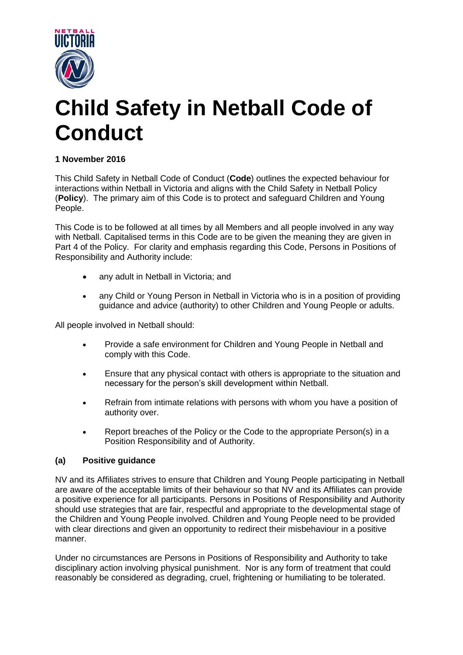

# **Child Safety in Netball Code of Conduct**

# **1 November 2016**

This Child Safety in Netball Code of Conduct (**Code**) outlines the expected behaviour for interactions within Netball in Victoria and aligns with the Child Safety in Netball Policy (**Policy**). The primary aim of this Code is to protect and safeguard Children and Young People.

This Code is to be followed at all times by all Members and all people involved in any way with Netball. Capitalised terms in this Code are to be given the meaning they are given in Part 4 of the Policy. For clarity and emphasis regarding this Code, Persons in Positions of Responsibility and Authority include:

- any adult in Netball in Victoria; and
- any Child or Young Person in Netball in Victoria who is in a position of providing guidance and advice (authority) to other Children and Young People or adults.

All people involved in Netball should:

- Provide a safe environment for Children and Young People in Netball and comply with this Code.
- Ensure that any physical contact with others is appropriate to the situation and necessary for the person's skill development within Netball.
- Refrain from intimate relations with persons with whom you have a position of authority over.
- Report breaches of the Policy or the Code to the appropriate Person(s) in a Position Responsibility and of Authority.

## **(a) Positive guidance**

NV and its Affiliates strives to ensure that Children and Young People participating in Netball are aware of the acceptable limits of their behaviour so that NV and its Affiliates can provide a positive experience for all participants. Persons in Positions of Responsibility and Authority should use strategies that are fair, respectful and appropriate to the developmental stage of the Children and Young People involved. Children and Young People need to be provided with clear directions and given an opportunity to redirect their misbehaviour in a positive manner.

Under no circumstances are Persons in Positions of Responsibility and Authority to take disciplinary action involving physical punishment. Nor is any form of treatment that could reasonably be considered as degrading, cruel, frightening or humiliating to be tolerated.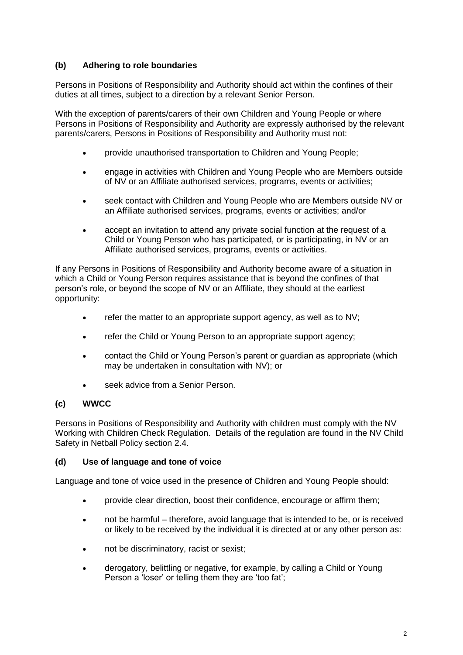## **(b) Adhering to role boundaries**

Persons in Positions of Responsibility and Authority should act within the confines of their duties at all times, subject to a direction by a relevant Senior Person.

With the exception of parents/carers of their own Children and Young People or where Persons in Positions of Responsibility and Authority are expressly authorised by the relevant parents/carers, Persons in Positions of Responsibility and Authority must not:

- provide unauthorised transportation to Children and Young People;
- engage in activities with Children and Young People who are Members outside of NV or an Affiliate authorised services, programs, events or activities;
- seek contact with Children and Young People who are Members outside NV or an Affiliate authorised services, programs, events or activities; and/or
- accept an invitation to attend any private social function at the request of a Child or Young Person who has participated, or is participating, in NV or an Affiliate authorised services, programs, events or activities.

If any Persons in Positions of Responsibility and Authority become aware of a situation in which a Child or Young Person requires assistance that is beyond the confines of that person's role, or beyond the scope of NV or an Affiliate, they should at the earliest opportunity:

- $\bullet$  refer the matter to an appropriate support agency, as well as to NV;
- refer the Child or Young Person to an appropriate support agency;
- contact the Child or Young Person's parent or guardian as appropriate (which may be undertaken in consultation with NV); or
- seek advice from a Senior Person.

## **(c) WWCC**

Persons in Positions of Responsibility and Authority with children must comply with the NV Working with Children Check Regulation. Details of the regulation are found in the NV Child Safety in Netball Policy section 2.4.

#### **(d) Use of language and tone of voice**

Language and tone of voice used in the presence of Children and Young People should:

- provide clear direction, boost their confidence, encourage or affirm them;
- not be harmful therefore, avoid language that is intended to be, or is received or likely to be received by the individual it is directed at or any other person as:
- not be discriminatory, racist or sexist;
- derogatory, belittling or negative, for example, by calling a Child or Young Person a 'loser' or telling them they are 'too fat';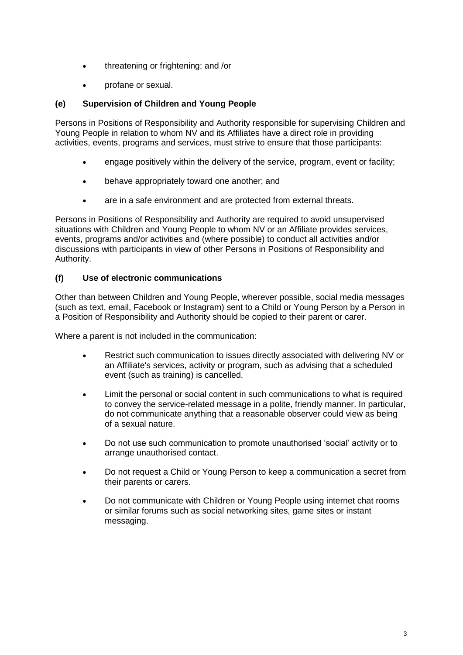- threatening or frightening; and /or
- profane or sexual.

#### **(e) Supervision of Children and Young People**

Persons in Positions of Responsibility and Authority responsible for supervising Children and Young People in relation to whom NV and its Affiliates have a direct role in providing activities, events, programs and services, must strive to ensure that those participants:

- engage positively within the delivery of the service, program, event or facility;
- behave appropriately toward one another; and
- are in a safe environment and are protected from external threats.

Persons in Positions of Responsibility and Authority are required to avoid unsupervised situations with Children and Young People to whom NV or an Affiliate provides services, events, programs and/or activities and (where possible) to conduct all activities and/or discussions with participants in view of other Persons in Positions of Responsibility and Authority.

#### **(f) Use of electronic communications**

Other than between Children and Young People, wherever possible, social media messages (such as text, email, Facebook or Instagram) sent to a Child or Young Person by a Person in a Position of Responsibility and Authority should be copied to their parent or carer.

Where a parent is not included in the communication:

- Restrict such communication to issues directly associated with delivering NV or an Affiliate's services, activity or program, such as advising that a scheduled event (such as training) is cancelled.
- Limit the personal or social content in such communications to what is required to convey the service-related message in a polite, friendly manner. In particular, do not communicate anything that a reasonable observer could view as being of a sexual nature.
- Do not use such communication to promote unauthorised 'social' activity or to arrange unauthorised contact.
- Do not request a Child or Young Person to keep a communication a secret from their parents or carers.
- Do not communicate with Children or Young People using internet chat rooms or similar forums such as social networking sites, game sites or instant messaging.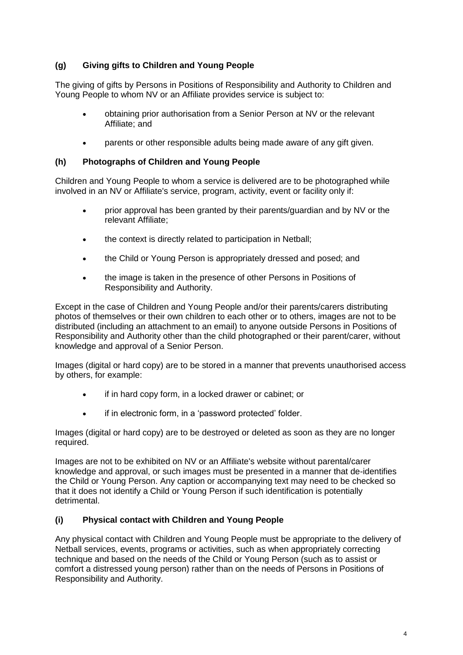## **(g) Giving gifts to Children and Young People**

The giving of gifts by Persons in Positions of Responsibility and Authority to Children and Young People to whom NV or an Affiliate provides service is subject to:

- obtaining prior authorisation from a Senior Person at NV or the relevant Affiliate; and
- parents or other responsible adults being made aware of any gift given.

#### **(h) Photographs of Children and Young People**

Children and Young People to whom a service is delivered are to be photographed while involved in an NV or Affiliate's service, program, activity, event or facility only if:

- prior approval has been granted by their parents/guardian and by NV or the relevant Affiliate;
- the context is directly related to participation in Netball:
- the Child or Young Person is appropriately dressed and posed: and
- the image is taken in the presence of other Persons in Positions of Responsibility and Authority.

Except in the case of Children and Young People and/or their parents/carers distributing photos of themselves or their own children to each other or to others, images are not to be distributed (including an attachment to an email) to anyone outside Persons in Positions of Responsibility and Authority other than the child photographed or their parent/carer, without knowledge and approval of a Senior Person.

Images (digital or hard copy) are to be stored in a manner that prevents unauthorised access by others, for example:

- if in hard copy form, in a locked drawer or cabinet; or
- if in electronic form, in a 'password protected' folder.

Images (digital or hard copy) are to be destroyed or deleted as soon as they are no longer required.

Images are not to be exhibited on NV or an Affiliate's website without parental/carer knowledge and approval, or such images must be presented in a manner that de-identifies the Child or Young Person. Any caption or accompanying text may need to be checked so that it does not identify a Child or Young Person if such identification is potentially detrimental.

## **(i) Physical contact with Children and Young People**

Any physical contact with Children and Young People must be appropriate to the delivery of Netball services, events, programs or activities, such as when appropriately correcting technique and based on the needs of the Child or Young Person (such as to assist or comfort a distressed young person) rather than on the needs of Persons in Positions of Responsibility and Authority.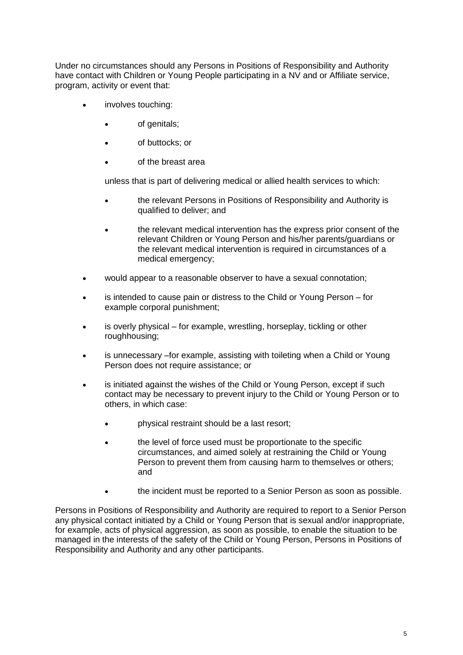Under no circumstances should any Persons in Positions of Responsibility and Authority have contact with Children or Young People participating in a NV and or Affiliate service, program, activity or event that:

- involves touching:
	- of genitals;
	- of buttocks; or
	- of the breast area

unless that is part of delivering medical or allied health services to which:

- the relevant Persons in Positions of Responsibility and Authority is qualified to deliver; and
- the relevant medical intervention has the express prior consent of the relevant Children or Young Person and his/her parents/guardians or the relevant medical intervention is required in circumstances of a medical emergency;
- would appear to a reasonable observer to have a sexual connotation;
- is intended to cause pain or distress to the Child or Young Person for example corporal punishment;
- is overly physical for example, wrestling, horseplay, tickling or other roughhousing;
- is unnecessary –for example, assisting with toileting when a Child or Young Person does not require assistance; or
- is initiated against the wishes of the Child or Young Person, except if such contact may be necessary to prevent injury to the Child or Young Person or to others, in which case:
	- physical restraint should be a last resort;
	- the level of force used must be proportionate to the specific circumstances, and aimed solely at restraining the Child or Young Person to prevent them from causing harm to themselves or others; and
		- the incident must be reported to a Senior Person as soon as possible.

Persons in Positions of Responsibility and Authority are required to report to a Senior Person any physical contact initiated by a Child or Young Person that is sexual and/or inappropriate, for example, acts of physical aggression, as soon as possible, to enable the situation to be managed in the interests of the safety of the Child or Young Person, Persons in Positions of Responsibility and Authority and any other participants.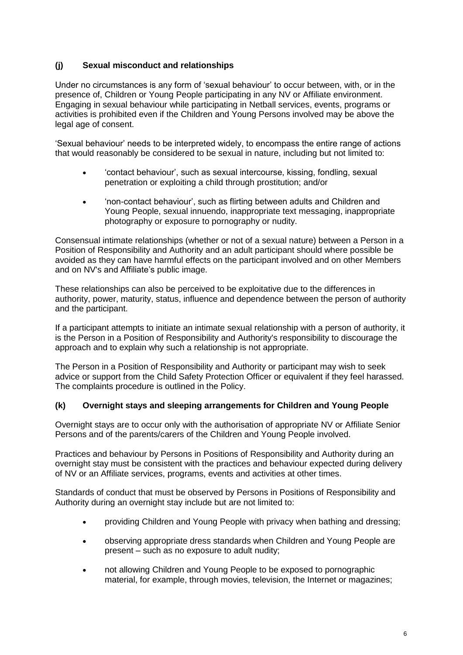## **(j) Sexual misconduct and relationships**

Under no circumstances is any form of 'sexual behaviour' to occur between, with, or in the presence of, Children or Young People participating in any NV or Affiliate environment. Engaging in sexual behaviour while participating in Netball services, events, programs or activities is prohibited even if the Children and Young Persons involved may be above the legal age of consent.

'Sexual behaviour' needs to be interpreted widely, to encompass the entire range of actions that would reasonably be considered to be sexual in nature, including but not limited to:

- 'contact behaviour', such as sexual intercourse, kissing, fondling, sexual penetration or exploiting a child through prostitution; and/or
- 'non-contact behaviour', such as flirting between adults and Children and Young People, sexual innuendo, inappropriate text messaging, inappropriate photography or exposure to pornography or nudity.

Consensual intimate relationships (whether or not of a sexual nature) between a Person in a Position of Responsibility and Authority and an adult participant should where possible be avoided as they can have harmful effects on the participant involved and on other Members and on NV's and Affiliate's public image.

These relationships can also be perceived to be exploitative due to the differences in authority, power, maturity, status, influence and dependence between the person of authority and the participant.

If a participant attempts to initiate an intimate sexual relationship with a person of authority, it is the Person in a Position of Responsibility and Authority's responsibility to discourage the approach and to explain why such a relationship is not appropriate.

The Person in a Position of Responsibility and Authority or participant may wish to seek advice or support from the Child Safety Protection Officer or equivalent if they feel harassed. The complaints procedure is outlined in the Policy.

## **(k) Overnight stays and sleeping arrangements for Children and Young People**

Overnight stays are to occur only with the authorisation of appropriate NV or Affiliate Senior Persons and of the parents/carers of the Children and Young People involved.

Practices and behaviour by Persons in Positions of Responsibility and Authority during an overnight stay must be consistent with the practices and behaviour expected during delivery of NV or an Affiliate services, programs, events and activities at other times.

Standards of conduct that must be observed by Persons in Positions of Responsibility and Authority during an overnight stay include but are not limited to:

- providing Children and Young People with privacy when bathing and dressing;
- observing appropriate dress standards when Children and Young People are present – such as no exposure to adult nudity;
- not allowing Children and Young People to be exposed to pornographic material, for example, through movies, television, the Internet or magazines;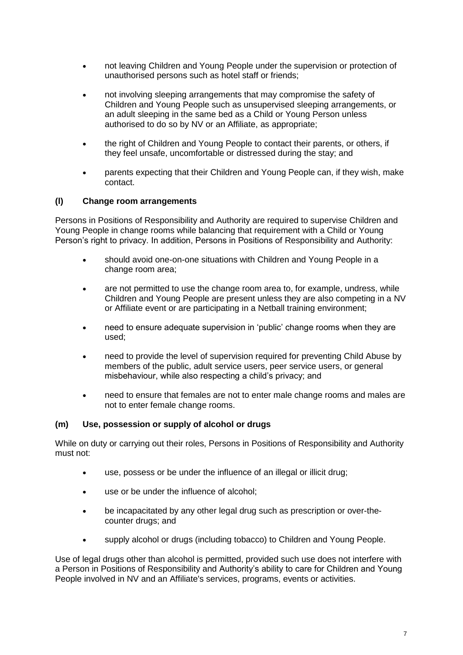- not leaving Children and Young People under the supervision or protection of unauthorised persons such as hotel staff or friends;
- not involving sleeping arrangements that may compromise the safety of Children and Young People such as unsupervised sleeping arrangements, or an adult sleeping in the same bed as a Child or Young Person unless authorised to do so by NV or an Affiliate, as appropriate;
- the right of Children and Young People to contact their parents, or others, if they feel unsafe, uncomfortable or distressed during the stay; and
- parents expecting that their Children and Young People can, if they wish, make contact.

#### **(l) Change room arrangements**

Persons in Positions of Responsibility and Authority are required to supervise Children and Young People in change rooms while balancing that requirement with a Child or Young Person's right to privacy. In addition, Persons in Positions of Responsibility and Authority:

- should avoid one-on-one situations with Children and Young People in a change room area;
- are not permitted to use the change room area to, for example, undress, while Children and Young People are present unless they are also competing in a NV or Affiliate event or are participating in a Netball training environment;
- need to ensure adequate supervision in 'public' change rooms when they are used;
- need to provide the level of supervision required for preventing Child Abuse by members of the public, adult service users, peer service users, or general misbehaviour, while also respecting a child's privacy; and
- need to ensure that females are not to enter male change rooms and males are not to enter female change rooms.

#### **(m) Use, possession or supply of alcohol or drugs**

While on duty or carrying out their roles, Persons in Positions of Responsibility and Authority must not:

- use, possess or be under the influence of an illegal or illicit drug;
- use or be under the influence of alcohol;
- be incapacitated by any other legal drug such as prescription or over-thecounter drugs; and
- supply alcohol or drugs (including tobacco) to Children and Young People.

Use of legal drugs other than alcohol is permitted, provided such use does not interfere with a Person in Positions of Responsibility and Authority's ability to care for Children and Young People involved in NV and an Affiliate's services, programs, events or activities.